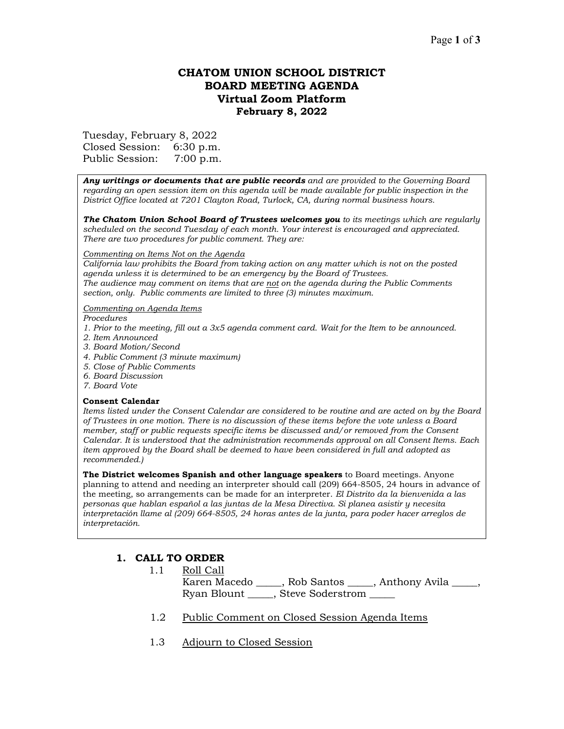# **CHATOM UNION SCHOOL DISTRICT BOARD MEETING AGENDA Virtual Zoom Platform February 8, 2022**

Tuesday, February 8, 2022

Closed Session: 6:30 p.m. Public Session: 7:00 p.m.

*Any writings or documents that are public records and are provided to the Governing Board regarding an open session item on this agenda will be made available for public inspection in the District Office located at 7201 Clayton Road, Turlock, CA, during normal business hours.*

*The Chatom Union School Board of Trustees welcomes you to its meetings which are regularly scheduled on the second Tuesday of each month. Your interest is encouraged and appreciated. There are two procedures for public comment. They are:*

#### *Commenting on Items Not on the Agenda*

*California law prohibits the Board from taking action on any matter which is not on the posted agenda unless it is determined to be an emergency by the Board of Trustees. The audience may comment on items that are not on the agenda during the Public Comments section, only. Public comments are limited to three (3) minutes maximum.*

#### *Commenting on Agenda Items*

*Procedures* 

- *1. Prior to the meeting, fill out a 3x5 agenda comment card. Wait for the Item to be announced.*
- *2. Item Announced*
- *3. Board Motion/Second*
- *4. Public Comment (3 minute maximum)*
- *5. Close of Public Comments*
- *6. Board Discussion*
- *7. Board Vote*

#### **Consent Calendar**

*Items listed under the Consent Calendar are considered to be routine and are acted on by the Board of Trustees in one motion. There is no discussion of these items before the vote unless a Board member, staff or public requests specific items be discussed and/or removed from the Consent Calendar. It is understood that the administration recommends approval on all Consent Items. Each item approved by the Board shall be deemed to have been considered in full and adopted as recommended.)*

**The District welcomes Spanish and other language speakers** to Board meetings. Anyone planning to attend and needing an interpreter should call (209) 664-8505, 24 hours in advance of the meeting, so arrangements can be made for an interpreter. *El Distrito da la bienvenida a las personas que hablan español a las juntas de la Mesa Directiva. Si planea asistir y necesita interpretación llame al (209) 664-8505, 24 horas antes de la junta, para poder hacer arreglos de interpretación.*

## **1. CALL TO ORDER**

- 1.1 Roll Call Karen Macedo \_\_\_\_\_, Rob Santos \_\_\_\_, Anthony Avila \_\_\_\_, Ryan Blount \_\_\_\_\_, Steve Soderstrom \_\_\_\_\_
- 1.2 Public Comment on Closed Session Agenda Items
- 1.3 Adjourn to Closed Session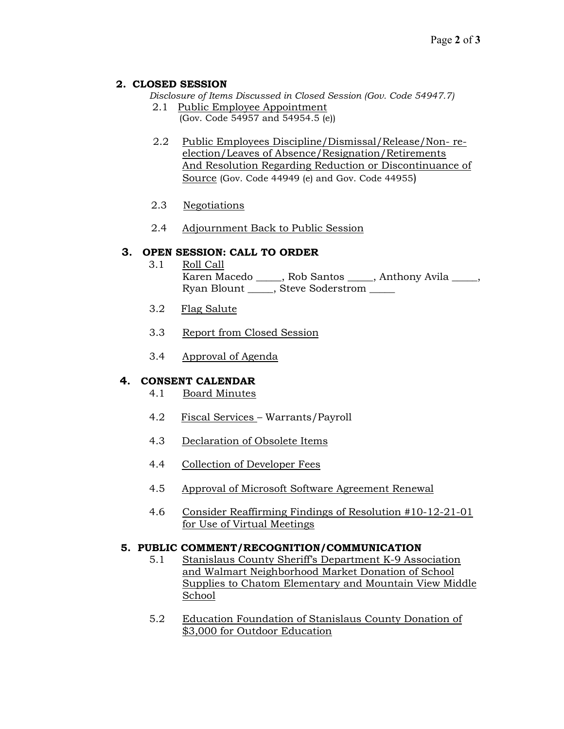### **2. CLOSED SESSION**

*Disclosure of Items Discussed in Closed Session (Gov. Code 54947.7)*

- 2.1 Public Employee Appointment (Gov. Code 54957 and 54954.5 (e))
- 2.2 Public Employees Discipline/Dismissal/Release/Non- reelection/Leaves of Absence/Resignation/Retirements And Resolution Regarding Reduction or Discontinuance of Source (Gov. Code 44949 (e) and Gov. Code 44955)
- 2.3 Negotiations
- 2.4 Adjournment Back to Public Session

## **3. OPEN SESSION: CALL TO ORDER**

- 3.1 Roll Call Karen Macedo \_\_\_\_\_, Rob Santos \_\_\_\_, Anthony Avila \_\_\_\_, Ryan Blount \_\_\_\_\_, Steve Soderstrom \_\_\_\_\_
- 3.2 Flag Salute
- 3.3 Report from Closed Session
- 3.4 Approval of Agenda

## **4. CONSENT CALENDAR**

- 4.1 Board Minutes
- 4.2 Fiscal Services Warrants/Payroll
- 4.3 Declaration of Obsolete Items
- 4.4 Collection of Developer Fees
- 4.5 Approval of Microsoft Software Agreement Renewal
- 4.6 Consider Reaffirming Findings of Resolution #10-12-21-01 for Use of Virtual Meetings

### **5. PUBLIC COMMENT/RECOGNITION/COMMUNICATION**

- 5.1 Stanislaus County Sheriff's Department K-9 Association and Walmart Neighborhood Market Donation of School Supplies to Chatom Elementary and Mountain View Middle School
- 5.2 Education Foundation of Stanislaus County Donation of \$3,000 for Outdoor Education